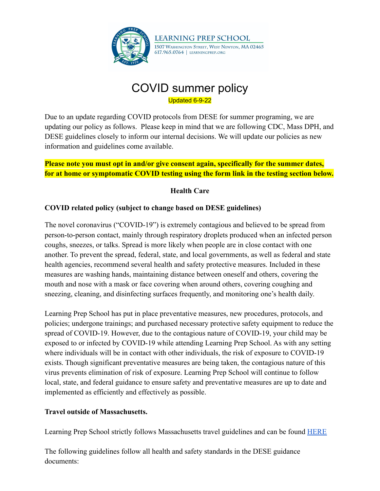

# COVID summer policy Updated 6-9-22

Due to an update regarding COVID protocols from DESE for summer programing, we are updating our policy as follows. Please keep in mind that we are following CDC, Mass DPH, and DESE guidelines closely to inform our internal decisions. We will update our policies as new information and guidelines come available.

#### **Please note you must opt in and/or give consent again, specifically for the summer dates, for at home or symptomatic COVID testing using the form link in the testing section below.**

### **Health Care**

### **COVID related policy (subject to change based on DESE guidelines)**

The novel coronavirus ("COVID-19") is extremely contagious and believed to be spread from person-to-person contact, mainly through respiratory droplets produced when an infected person coughs, sneezes, or talks. Spread is more likely when people are in close contact with one another. To prevent the spread, federal, state, and local governments, as well as federal and state health agencies, recommend several health and safety protective measures. Included in these measures are washing hands, maintaining distance between oneself and others, covering the mouth and nose with a mask or face covering when around others, covering coughing and sneezing, cleaning, and disinfecting surfaces frequently, and monitoring one's health daily.

Learning Prep School has put in place preventative measures, new procedures, protocols, and policies; undergone trainings; and purchased necessary protective safety equipment to reduce the spread of COVID-19. However, due to the contagious nature of COVID-19, your child may be exposed to or infected by COVID-19 while attending Learning Prep School. As with any setting where individuals will be in contact with other individuals, the risk of exposure to COVID-19 exists. Though significant preventative measures are being taken, the contagious nature of this virus prevents elimination of risk of exposure. Learning Prep School will continue to follow local, state, and federal guidance to ensure safety and preventative measures are up to date and implemented as efficiently and effectively as possible.

### **Travel outside of Massachusetts.**

Learning Prep School strictly follows Massachusetts travel guidelines and can be found **[HERE](https://www.mass.gov/info-details/covid-19-travel)** 

The following guidelines follow all health and safety standards in the DESE guidance documents: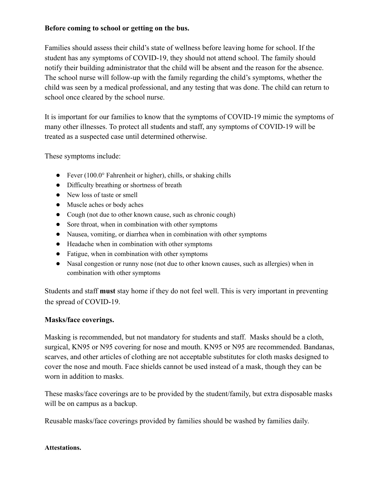#### **Before coming to school or getting on the bus.**

Families should assess their child's state of wellness before leaving home for school. If the student has any symptoms of COVID-19, they should not attend school. The family should notify their building administrator that the child will be absent and the reason for the absence. The school nurse will follow-up with the family regarding the child's symptoms, whether the child was seen by a medical professional, and any testing that was done. The child can return to school once cleared by the school nurse.

It is important for our families to know that the symptoms of COVID-19 mimic the symptoms of many other illnesses. To protect all students and staff, any symptoms of COVID-19 will be treated as a suspected case until determined otherwise.

These symptoms include:

- *●* Fever (100.0° Fahrenheit or higher), chills, or shaking chills
- *●* Difficulty breathing or shortness of breath
- *●* New loss of taste or smell
- *●* Muscle aches or body aches
- *●* Cough (not due to other known cause, such as chronic cough)
- *●* Sore throat, when in combination with other symptoms
- *●* Nausea, vomiting, or diarrhea when in combination with other symptoms
- *●* Headache when in combination with other symptoms
- *●* Fatigue, when in combination with other symptoms
- *●* Nasal congestion or runny nose (not due to other known causes, such as allergies) when in combination with other symptoms

Students and staff **must** stay home if they do not feel well. This is very important in preventing the spread of COVID-19.

#### **Masks/face coverings.**

Masking is recommended, but not mandatory for students and staff. Masks should be a cloth, surgical, KN95 or N95 covering for nose and mouth. KN95 or N95 are recommended. Bandanas, scarves, and other articles of clothing are not acceptable substitutes for cloth masks designed to cover the nose and mouth. Face shields cannot be used instead of a mask, though they can be worn in addition to masks.

These masks/face coverings are to be provided by the student/family, but extra disposable masks will be on campus as a backup.

Reusable masks/face coverings provided by families should be washed by families daily.

#### **Attestations.**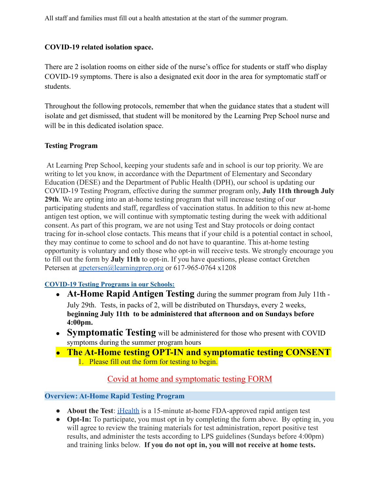All staff and families must fill out a health attestation at the start of the summer program.

### **COVID-19 related isolation space.**

There are 2 isolation rooms on either side of the nurse's office for students or staff who display COVID-19 symptoms. There is also a designated exit door in the area for symptomatic staff or students.

Throughout the following protocols, remember that when the guidance states that a student will isolate and get dismissed, that student will be monitored by the Learning Prep School nurse and will be in this dedicated isolation space.

#### **Testing Program**

At Learning Prep School, keeping your students safe and in school is our top priority. We are writing to let you know, in accordance with the Department of Elementary and Secondary Education (DESE) and the Department of Public Health (DPH), our school is updating our COVID-19 Testing Program, effective during the summer program only, **July 11th through July 29th**. We are opting into an at-home testing program that will increase testing of our participating students and staff, regardless of vaccination status. In addition to this new at-home antigen test option, we will continue with symptomatic testing during the week with additional consent. As part of this program, we are not using Test and Stay protocols or doing contact tracing for in-school close contacts. This means that if your child is a potential contact in school, they may continue to come to school and do not have to quarantine. This at-home testing opportunity is voluntary and only those who opt-in will receive tests. We strongly encourage you to fill out the form by **July 11th** to opt-in. If you have questions, please contact Gretchen Petersen at [gpetersen@learningprep.org](mailto:gpetersen@learningprep.org) or 617-965-0764 x1208

### **COVID-19 Testing Programs in our Schools:**

- **At-Home Rapid Antigen Testing** during the summer program from July 11th July 29th. Tests, in packs of 2, will be distributed on Thursdays, every 2 weeks, **beginning July 11th to be administered that afternoon and on Sundays before 4:00pm.**
- **Symptomatic Testing** will be administered for those who present with COVID symptoms during the summer program hours
- **The At-Home testing OPT-IN and symptomatic testing CONSENT** 1. Please fill out the form for testing to begin.

# Covid at home and [symptomatic](https://forms.gle/M8srtBZUPBaUypqK9) testing FORM

#### **Overview: At-Home Rapid Testing Program**

- **About the Test**: [iHealth](https://ihealthlabs.com/) is a 15-minute at-home FDA-approved rapid antigen test
- **Opt-In:** To participate, you must opt in by completing the form above. By opting in, you will agree to review the training materials for test administration, report positive test results, and administer the tests according to LPS guidelines (Sundays before 4:00pm) and training links below. **If you do not opt in, you will not receive at home tests.**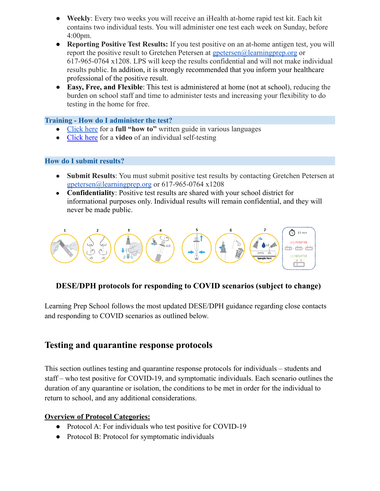- **Weekly**: Every two weeks you will receive an iHealth at-home rapid test kit. Each kit contains two individual tests. You will administer one test each week on Sunday, before 4:00pm.
- **Reporting Positive Test Results:** If you test positive on an at-home antigen test, you will report the positive result to Gretchen Petersen at [gpetersen@learningprep.org](mailto:gpetersen@learningprep.org) or 617-965-0764 x1208. LPS will keep the results confidential and will not make individual results public. In addition, it is strongly recommended that you inform your healthcare professional of the positive result.
- **Easy, Free, and Flexible**: This test is administered at home (not at school), reducing the burden on school staff and time to administer tests and increasing your flexibility to do testing in the home for free.

#### **Training - How do I administer the test?**

- [Click here](https://www.mass.gov/lists/covid-19-self-test-at-home-instructions-graphic) for a **full "how to"** written guide in various languages
- [Click here](https://www.youtube.com/watch?v=XAzos3k6aCY&t=14s) for a **video** of an individual self-testing

#### **How do I submit results?**

- **Submit Results**: You must submit positive test results by contacting Gretchen Petersen at [gpetersen@learningprep.org](mailto:gpetersen@learningprep.org) or 617-965-0764 x1208
- **Confidentiality**: Positive test results are shared with your school district for informational purposes only. Individual results will remain confidential, and they will never be made public.



### **DESE/DPH protocols for responding to COVID scenarios (subject to change)**

Learning Prep School follows the most updated DESE/DPH guidance regarding close contacts and responding to COVID scenarios as outlined below.

# **Testing and quarantine response protocols**

This section outlines testing and quarantine response protocols for individuals – students and staff – who test positive for COVID-19, and symptomatic individuals. Each scenario outlines the duration of any quarantine or isolation, the conditions to be met in order for the individual to return to school, and any additional considerations.

#### **Overview of Protocol Categories:**

- Protocol A: For individuals who test positive for COVID-19
- Protocol B: Protocol for symptomatic individuals